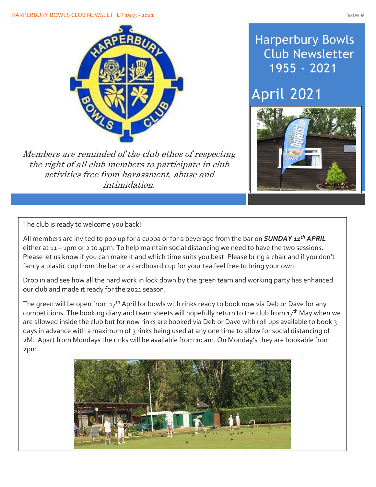

Members are reminded of the club ethos of respecting the right of all club members to participate in club activities free from harassment, abuse and intimidation.

# Harperbury Bowls Club Newsletter 1955 - 2021

# April 2021



The club is ready to welcome you back!

All members are invited to pop up for a cuppa or for a beverage from the bar on *SUNDAY 11th APRIL* either at 11 – 1pm or 2 to 4pm. To help maintain social distancing we need to have the two sessions. Please let us know if you can make it and which time suits you best. Please bring a chair and if you don't fancy a plastic cup from the bar or a cardboard cup for your tea feel free to bring your own.

Drop in and see how all the hard work in lock down by the green team and working party has enhanced our club and made it ready for the 2021 season.

The green will be open from  $17<sup>th</sup>$  April for bowls with rinks ready to book now via Deb or Dave for any competitions. The booking diary and team sheets will hopefully return to the club from  $17<sup>th</sup>$  May when we are allowed inside the club but for now rinks are booked via Deb or Dave with roll ups available to book 3 days in advance with a maximum of 3 rinks being used at any one time to allow for social distancing of 2M. Apart from Mondays the rinks will be available from 10 am. On Monday's they are bookable from 2pm.

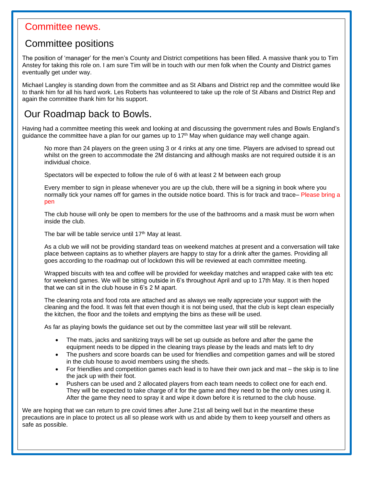### Committee news.

Í

### Committee positions

The position of 'manager' for the men's County and District competitions has been filled. A massive thank you to Tim Anstey for taking this role on. I am sure Tim will be in touch with our men folk when the County and District games eventually get under way.

Michael Langley is standing down from the committee and as St Albans and District rep and the committee would like to thank him for all his hard work. Les Roberts has volunteered to take up the role of St Albans and District Rep and again the committee thank him for his support.

### Our Roadmap back to Bowls.

Having had a committee meeting this week and looking at and discussing the government rules and Bowls England's guidance the committee have a plan for our games up to  $17<sup>th</sup>$  May when guidance may well change again.

No more than 24 players on the green using 3 or 4 rinks at any one time. Players are advised to spread out whilst on the green to accommodate the 2M distancing and although masks are not required outside it is an individual choice.

Spectators will be expected to follow the rule of 6 with at least 2 M between each group

Every member to sign in please whenever you are up the club, there will be a signing in book where you normally tick your names off for games in the outside notice board. This is for track and trace– Please bring a pen

The club house will only be open to members for the use of the bathrooms and a mask must be worn when inside the club.

The bar will be table service until 17<sup>th</sup> May at least.

As a club we will not be providing standard teas on weekend matches at present and a conversation will take place between captains as to whether players are happy to stay for a drink after the games. Providing all goes according to the roadmap out of lockdown this will be reviewed at each committee meeting.

Wrapped biscuits with tea and coffee will be provided for weekday matches and wrapped cake with tea etc for weekend games. We will be sitting outside in 6's throughout April and up to 17th May. It is then hoped that we can sit in the club house in 6's 2 M apart.

The cleaning rota and food rota are attached and as always we really appreciate your support with the cleaning and the food. It was felt that even though it is not being used, that the club is kept clean especially the kitchen, the floor and the toilets and emptying the bins as these will be used.

As far as playing bowls the guidance set out by the committee last year will still be relevant.

- The mats, jacks and sanitizing trays will be set up outside as before and after the game the equipment needs to be dipped in the cleaning trays please by the leads and mats left to dry
- The pushers and score boards can be used for friendlies and competition games and will be stored in the club house to avoid members using the sheds.
- For friendlies and competition games each lead is to have their own jack and mat the skip is to line the jack up with their foot.
- Pushers can be used and 2 allocated players from each team needs to collect one for each end. They will be expected to take charge of it for the game and they need to be the only ones using it. After the game they need to spray it and wipe it down before it is returned to the club house.

We are hoping that we can return to pre covid times after June 21st all being well but in the meantime these precautions are in place to protect us all so please work with us and abide by them to keep yourself and others as safe as possible.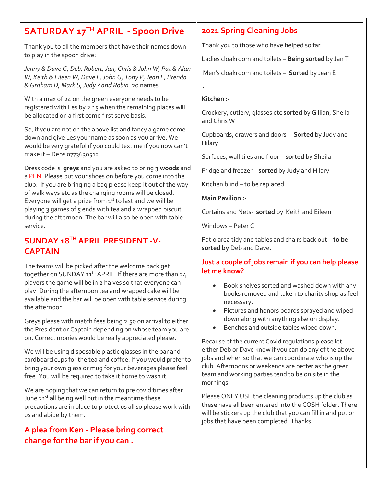### **SATURDAY 17TH APRIL - Spoon Drive**

Thank you to all the members that have their names down to play in the spoon drive:

*Jenny & Dave G, Deb, Robert, Jan, Chris & John W, Pat & Alan W, Keith & Eileen W, Dave L, John G, Tony P, Jean E, Brenda & Graham D, Mark S, Judy ? and Robin*. 20 names

With a max of 24 on the green everyone needs to be registered with Les by 2.15 when the remaining places will be allocated on a first come first serve basis.

So, if you are not on the above list and fancy a game come down and give Les your name as soon as you arrive. We would be very grateful if you could text me if you now can't make it – Debs 0773630512

Dress code is **greys** and you are asked to bring **3 woods** and a PEN. Please put your shoes on before you come into the club. If you are bringing a bag please keep it out of the way of walk ways etc as the changing rooms will be closed. Everyone will get a prize from  $1^{st}$  to last and we will be playing 3 games of 5 ends with tea and a wrapped biscuit during the afternoon. The bar will also be open with table service.

### **SUNDAY 18TH APRIL PRESIDENT -V-CAPTAIN**

The teams will be picked after the welcome back get together on SUNDAY 11<sup>th</sup> APRIL. If there are more than 24 players the game will be in 2 halves so that everyone can play. During the afternoon tea and wrapped cake will be available and the bar will be open with table service during the afternoon.

Greys please with match fees being 2.50 on arrival to either the President or Captain depending on whose team you are on. Correct monies would be really appreciated please.

We will be using disposable plastic glasses in the bar and cardboard cups for the tea and coffee. If you would prefer to bring your own glass or mug for your beverages please feel free. You will be required to take it home to wash it.

We are hoping that we can return to pre covid times after June  $21<sup>st</sup>$  all being well but in the meantime these precautions are in place to protect us all so please work with us and abide by them.

### **A plea from Ken - Please bring correct change for the bar if you can .**

#### **2021 Spring Cleaning Jobs**

Thank you to those who have helped so far.

Ladies cloakroom and toilets – **Being sorted** by Jan T

Men's cloakroom and toilets – **Sorted** by Jean E

#### **Kitchen :-**

.

Crockery, cutlery, glasses etc **sorted** by Gillian, Sheila and Chris W

Cupboards, drawers and doors – **Sorted** by Judy and **Hilary** 

Surfaces, wall tiles and floor - **sorted** by Sheila

Fridge and freezer – **sorted** by Judy and Hilary

Kitchen blind – to be replaced

**Main Pavilion :-**

Curtains and Nets- **sorted** by Keith and Eileen

Windows – Peter C

Patio area tidy and tables and chairs back out – **to be sorted by** Deb and Dave.

#### **Just a couple of jobs remain if you can help please let me know?**

- Book shelves sorted and washed down with any books removed and taken to charity shop as feel necessary.
- Pictures and honors boards sprayed and wiped down along with anything else on display.
- Benches and outside tables wiped down.

Because of the current Covid regulations please let either Deb or Dave know if you can do any of the above jobs and when so that we can coordinate who is up the club. Afternoons or weekends are better as the green team and working parties tend to be on site in the mornings.

Please ONLY USE the cleaning products up the club as these have all been entered into the COSH folder. There will be stickers up the club that you can fill in and put on jobs that have been completed. Thanks